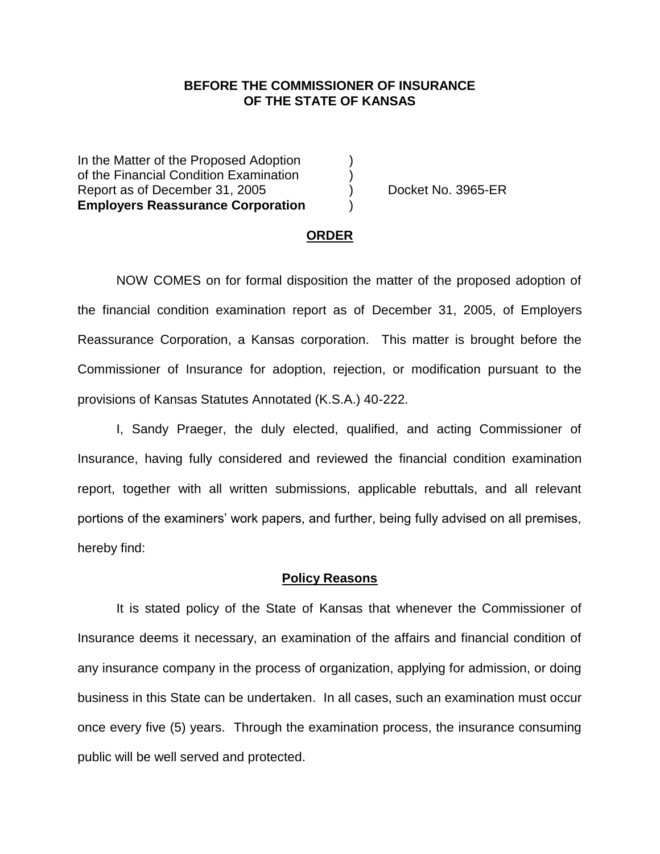## **BEFORE THE COMMISSIONER OF INSURANCE OF THE STATE OF KANSAS**

In the Matter of the Proposed Adoption of the Financial Condition Examination ) Report as of December 31, 2005 (as a series of Decket No. 3965-ER **Employers Reassurance Corporation** )

#### **ORDER**

NOW COMES on for formal disposition the matter of the proposed adoption of the financial condition examination report as of December 31, 2005, of Employers Reassurance Corporation, a Kansas corporation. This matter is brought before the Commissioner of Insurance for adoption, rejection, or modification pursuant to the provisions of Kansas Statutes Annotated (K.S.A.) 40-222.

I, Sandy Praeger, the duly elected, qualified, and acting Commissioner of Insurance, having fully considered and reviewed the financial condition examination report, together with all written submissions, applicable rebuttals, and all relevant portions of the examiners' work papers, and further, being fully advised on all premises, hereby find:

#### **Policy Reasons**

It is stated policy of the State of Kansas that whenever the Commissioner of Insurance deems it necessary, an examination of the affairs and financial condition of any insurance company in the process of organization, applying for admission, or doing business in this State can be undertaken. In all cases, such an examination must occur once every five (5) years. Through the examination process, the insurance consuming public will be well served and protected.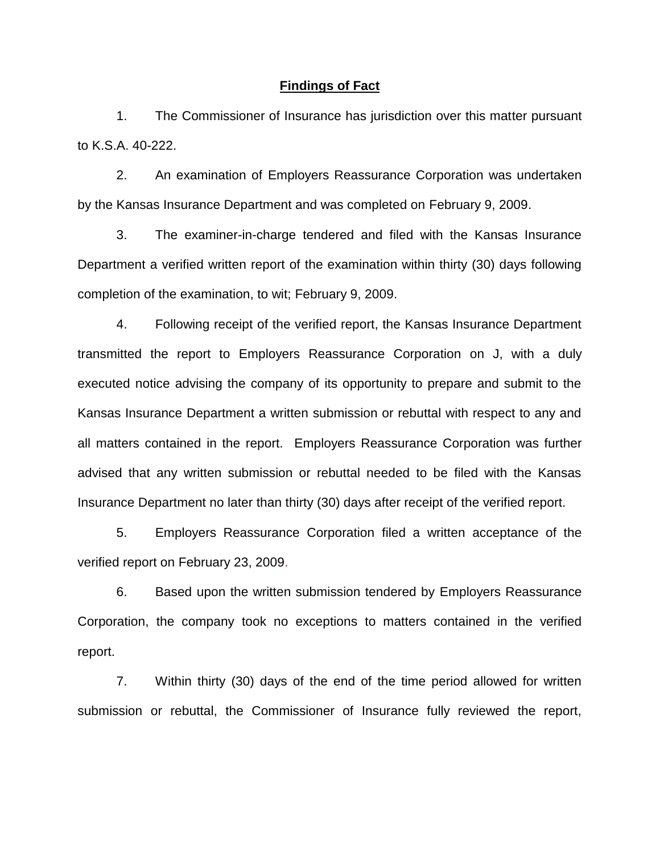### **Findings of Fact**

1. The Commissioner of Insurance has jurisdiction over this matter pursuant to K.S.A. 40-222.

2. An examination of Employers Reassurance Corporation was undertaken by the Kansas Insurance Department and was completed on February 9, 2009.

3. The examiner-in-charge tendered and filed with the Kansas Insurance Department a verified written report of the examination within thirty (30) days following completion of the examination, to wit; February 9, 2009.

4. Following receipt of the verified report, the Kansas Insurance Department transmitted the report to Employers Reassurance Corporation on J, with a duly executed notice advising the company of its opportunity to prepare and submit to the Kansas Insurance Department a written submission or rebuttal with respect to any and all matters contained in the report. Employers Reassurance Corporation was further advised that any written submission or rebuttal needed to be filed with the Kansas Insurance Department no later than thirty (30) days after receipt of the verified report.

5. Employers Reassurance Corporation filed a written acceptance of the verified report on February 23, 2009.

6. Based upon the written submission tendered by Employers Reassurance Corporation, the company took no exceptions to matters contained in the verified report.

7. Within thirty (30) days of the end of the time period allowed for written submission or rebuttal, the Commissioner of Insurance fully reviewed the report,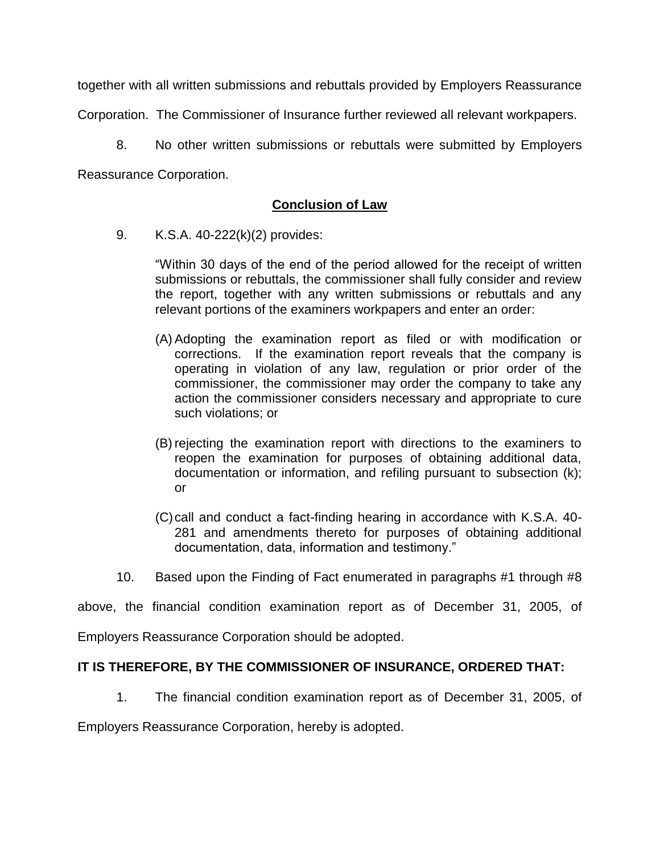together with all written submissions and rebuttals provided by Employers Reassurance

Corporation. The Commissioner of Insurance further reviewed all relevant workpapers.

8. No other written submissions or rebuttals were submitted by Employers Reassurance Corporation.

# **Conclusion of Law**

9. K.S.A. 40-222(k)(2) provides:

"Within 30 days of the end of the period allowed for the receipt of written submissions or rebuttals, the commissioner shall fully consider and review the report, together with any written submissions or rebuttals and any relevant portions of the examiners workpapers and enter an order:

- (A) Adopting the examination report as filed or with modification or corrections. If the examination report reveals that the company is operating in violation of any law, regulation or prior order of the commissioner, the commissioner may order the company to take any action the commissioner considers necessary and appropriate to cure such violations; or
- (B) rejecting the examination report with directions to the examiners to reopen the examination for purposes of obtaining additional data, documentation or information, and refiling pursuant to subsection (k); or
- (C)call and conduct a fact-finding hearing in accordance with K.S.A. 40- 281 and amendments thereto for purposes of obtaining additional documentation, data, information and testimony."
- 10. Based upon the Finding of Fact enumerated in paragraphs #1 through #8

above, the financial condition examination report as of December 31, 2005, of

Employers Reassurance Corporation should be adopted.

## **IT IS THEREFORE, BY THE COMMISSIONER OF INSURANCE, ORDERED THAT:**

1. The financial condition examination report as of December 31, 2005, of

Employers Reassurance Corporation, hereby is adopted.